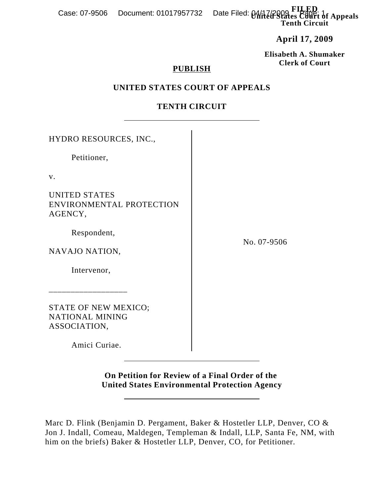**FI** Date Filed: 04/17/2009 Filetical of Appeals **Tenth Circuit** Case: 07-9506 Document: 01017957732

**April 17, 2009**

**Elisabeth A. Shumaker Clerk of Court**

### **PUBLISH**

## **UNITED STATES COURT OF APPEALS**

# **TENTH CIRCUIT**

| HYDRO RESOURCES, INC.,                                         |             |
|----------------------------------------------------------------|-------------|
| Petitioner,                                                    |             |
| V.                                                             |             |
| <b>UNITED STATES</b><br>ENVIRONMENTAL PROTECTION<br>AGENCY,    |             |
| Respondent,                                                    |             |
| NAVAJO NATION,                                                 | No. 07-9506 |
| Intervenor,                                                    |             |
| STATE OF NEW MEXICO;<br><b>NATIONAL MINING</b><br>ASSOCIATION, |             |
| Amici Curiae.                                                  |             |

**On Petition for Review of a Final Order of the United States Environmental Protection Agency**

Marc D. Flink (Benjamin D. Pergament, Baker & Hostetler LLP, Denver, CO & Jon J. Indall, Comeau, Maldegen, Templeman & Indall, LLP, Santa Fe, NM, with him on the briefs) Baker & Hostetler LLP, Denver, CO, for Petitioner.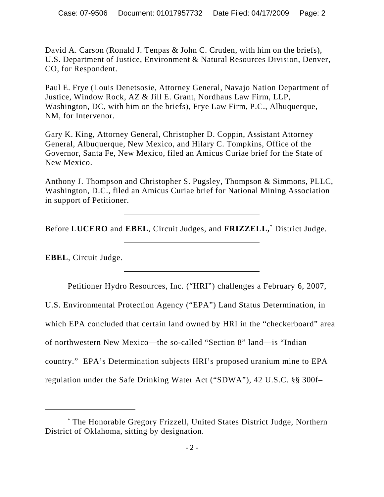David A. Carson (Ronald J. Tenpas & John C. Cruden, with him on the briefs), U.S. Department of Justice, Environment & Natural Resources Division, Denver, CO, for Respondent.

Paul E. Frye (Louis Denetsosie, Attorney General, Navajo Nation Department of Justice, Window Rock, AZ & Jill E. Grant, Nordhaus Law Firm, LLP, Washington, DC, with him on the briefs), Frye Law Firm, P.C., Albuquerque, NM, for Intervenor.

Gary K. King, Attorney General, Christopher D. Coppin, Assistant Attorney General, Albuquerque, New Mexico, and Hilary C. Tompkins, Office of the Governor, Santa Fe, New Mexico, filed an Amicus Curiae brief for the State of New Mexico.

Anthony J. Thompson and Christopher S. Pugsley, Thompson & Simmons, PLLC, Washington, D.C., filed an Amicus Curiae brief for National Mining Association in support of Petitioner.

Before **LUCERO** and **EBEL**, Circuit Judges, and **FRIZZELL,**\* District Judge.

**EBEL**, Circuit Judge.

Petitioner Hydro Resources, Inc. ("HRI") challenges a February 6, 2007,

U.S. Environmental Protection Agency ("EPA") Land Status Determination, in which EPA concluded that certain land owned by HRI in the "checkerboard" area of northwestern New Mexico—the so-called "Section 8" land—is "Indian country." EPA's Determination subjects HRI's proposed uranium mine to EPA regulation under the Safe Drinking Water Act ("SDWA"), 42 U.S.C. §§ 300f–

<sup>\*</sup> The Honorable Gregory Frizzell, United States District Judge, Northern District of Oklahoma, sitting by designation.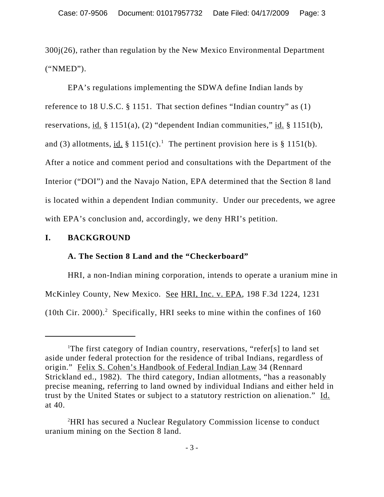300j(26), rather than regulation by the New Mexico Environmental Department ("NMED").

EPA's regulations implementing the SDWA define Indian lands by reference to 18 U.S.C. § 1151. That section defines "Indian country" as (1) reservations, id. § 1151(a), (2) "dependent Indian communities," id. § 1151(b), and (3) allotments, id.  $\S 1151(c)$ .<sup>1</sup> The pertinent provision here is  $\S 1151(b)$ . After a notice and comment period and consultations with the Department of the Interior ("DOI") and the Navajo Nation, EPA determined that the Section 8 land is located within a dependent Indian community. Under our precedents, we agree with EPA's conclusion and, accordingly, we deny HRI's petition.

## **I. BACKGROUND**

## **A. The Section 8 Land and the "Checkerboard"**

HRI, a non-Indian mining corporation, intends to operate a uranium mine in McKinley County, New Mexico. See HRI, Inc. v. EPA, 198 F.3d 1224, 1231 (10th Cir. 2000).<sup>2</sup> Specifically, HRI seeks to mine within the confines of 160

<sup>&</sup>lt;sup>1</sup>The first category of Indian country, reservations, "refer[s] to land set aside under federal protection for the residence of tribal Indians, regardless of origin." Felix S. Cohen's Handbook of Federal Indian Law 34 (Rennard Strickland ed., 1982). The third category, Indian allotments, "has a reasonably precise meaning, referring to land owned by individual Indians and either held in trust by the United States or subject to a statutory restriction on alienation." Id. at 40.

<sup>2</sup> HRI has secured a Nuclear Regulatory Commission license to conduct uranium mining on the Section 8 land.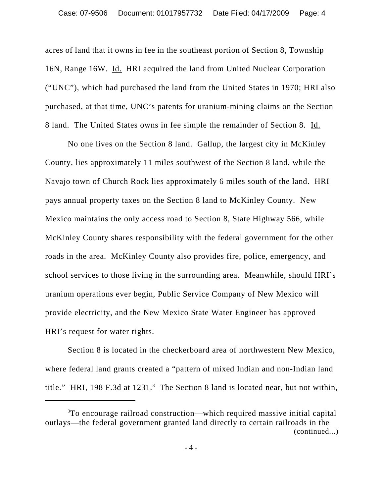acres of land that it owns in fee in the southeast portion of Section 8, Township 16N, Range 16W. Id. HRI acquired the land from United Nuclear Corporation ("UNC"), which had purchased the land from the United States in 1970; HRI also purchased, at that time, UNC's patents for uranium-mining claims on the Section 8 land. The United States owns in fee simple the remainder of Section 8. Id.

No one lives on the Section 8 land. Gallup, the largest city in McKinley County, lies approximately 11 miles southwest of the Section 8 land, while the Navajo town of Church Rock lies approximately 6 miles south of the land. HRI pays annual property taxes on the Section 8 land to McKinley County. New Mexico maintains the only access road to Section 8, State Highway 566, while McKinley County shares responsibility with the federal government for the other roads in the area. McKinley County also provides fire, police, emergency, and school services to those living in the surrounding area. Meanwhile, should HRI's uranium operations ever begin, Public Service Company of New Mexico will provide electricity, and the New Mexico State Water Engineer has approved HRI's request for water rights.

Section 8 is located in the checkerboard area of northwestern New Mexico, where federal land grants created a "pattern of mixed Indian and non-Indian land title."  $\overline{HRI}$ , 198 F.3d at 1231.<sup>3</sup> The Section 8 land is located near, but not within,

<sup>3</sup> To encourage railroad construction—which required massive initial capital outlays—the federal government granted land directly to certain railroads in the (continued...)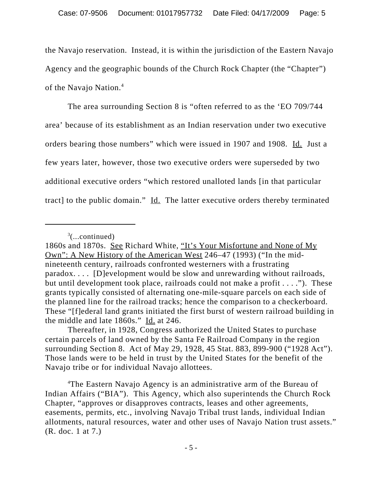the Navajo reservation. Instead, it is within the jurisdiction of the Eastern Navajo Agency and the geographic bounds of the Church Rock Chapter (the "Chapter") of the Navajo Nation.<sup>4</sup>

The area surrounding Section 8 is "often referred to as the 'EO 709/744 area' because of its establishment as an Indian reservation under two executive orders bearing those numbers" which were issued in 1907 and 1908. Id. Just a few years later, however, those two executive orders were superseded by two additional executive orders "which restored unalloted lands [in that particular tract] to the public domain." Id. The latter executive orders thereby terminated

4 The Eastern Navajo Agency is an administrative arm of the Bureau of Indian Affairs ("BIA"). This Agency, which also superintends the Church Rock Chapter, "approves or disapproves contracts, leases and other agreements, easements, permits, etc., involving Navajo Tribal trust lands, individual Indian allotments, natural resources, water and other uses of Navajo Nation trust assets." (R. doc. 1 at 7.)

 $\delta$ (...continued)

<sup>1860</sup>s and 1870s. See Richard White, "It's Your Misfortune and None of My Own": A New History of the American West 246–47 (1993) ("In the midnineteenth century, railroads confronted westerners with a frustrating paradox. . . . [D]evelopment would be slow and unrewarding without railroads, but until development took place, railroads could not make a profit . . . ."). These grants typically consisted of alternating one-mile-square parcels on each side of the planned line for the railroad tracks; hence the comparison to a checkerboard. These "[f]ederal land grants initiated the first burst of western railroad building in the middle and late 1860s." Id. at 246.

Thereafter, in 1928, Congress authorized the United States to purchase certain parcels of land owned by the Santa Fe Railroad Company in the region surrounding Section 8. Act of May 29, 1928, 45 Stat. 883, 899-900 ("1928 Act"). Those lands were to be held in trust by the United States for the benefit of the Navajo tribe or for individual Navajo allottees.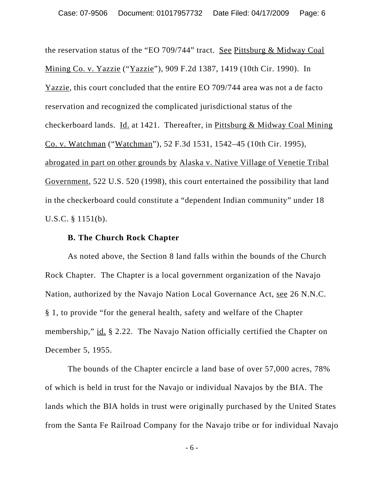the reservation status of the "EO 709/744" tract. See Pittsburg & Midway Coal Mining Co. v. Yazzie ("Yazzie"), 909 F.2d 1387, 1419 (10th Cir. 1990). In Yazzie, this court concluded that the entire EO 709/744 area was not a de facto reservation and recognized the complicated jurisdictional status of the checkerboard lands. Id. at 1421. Thereafter, in Pittsburg & Midway Coal Mining Co. v. Watchman ("Watchman"), 52 F.3d 1531, 1542–45 (10th Cir. 1995), abrogated in part on other grounds by Alaska v. Native Village of Venetie Tribal Government, 522 U.S. 520 (1998), this court entertained the possibility that land in the checkerboard could constitute a "dependent Indian community" under 18 U.S.C. § 1151(b).

#### **B. The Church Rock Chapter**

As noted above, the Section 8 land falls within the bounds of the Church Rock Chapter. The Chapter is a local government organization of the Navajo Nation, authorized by the Navajo Nation Local Governance Act, see 26 N.N.C. § 1, to provide "for the general health, safety and welfare of the Chapter membership," id. § 2.22. The Navajo Nation officially certified the Chapter on December 5, 1955.

The bounds of the Chapter encircle a land base of over 57,000 acres, 78% of which is held in trust for the Navajo or individual Navajos by the BIA. The lands which the BIA holds in trust were originally purchased by the United States from the Santa Fe Railroad Company for the Navajo tribe or for individual Navajo

- 6 -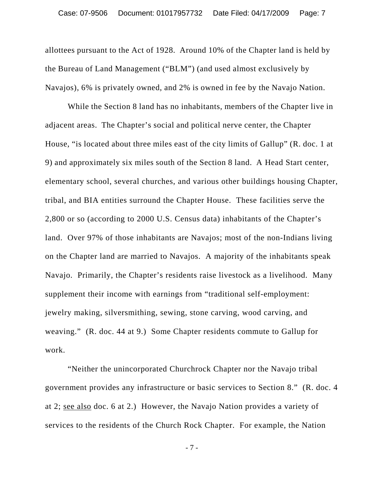allottees pursuant to the Act of 1928. Around 10% of the Chapter land is held by the Bureau of Land Management ("BLM") (and used almost exclusively by Navajos), 6% is privately owned, and 2% is owned in fee by the Navajo Nation.

While the Section 8 land has no inhabitants, members of the Chapter live in adjacent areas. The Chapter's social and political nerve center, the Chapter House, "is located about three miles east of the city limits of Gallup" (R. doc. 1 at 9) and approximately six miles south of the Section 8 land. A Head Start center, elementary school, several churches, and various other buildings housing Chapter, tribal, and BIA entities surround the Chapter House. These facilities serve the 2,800 or so (according to 2000 U.S. Census data) inhabitants of the Chapter's land. Over 97% of those inhabitants are Navajos; most of the non-Indians living on the Chapter land are married to Navajos. A majority of the inhabitants speak Navajo. Primarily, the Chapter's residents raise livestock as a livelihood. Many supplement their income with earnings from "traditional self-employment: jewelry making, silversmithing, sewing, stone carving, wood carving, and weaving." (R. doc. 44 at 9.) Some Chapter residents commute to Gallup for work.

"Neither the unincorporated Churchrock Chapter nor the Navajo tribal government provides any infrastructure or basic services to Section 8." (R. doc. 4 at 2; see also doc. 6 at 2.) However, the Navajo Nation provides a variety of services to the residents of the Church Rock Chapter. For example, the Nation

- 7 -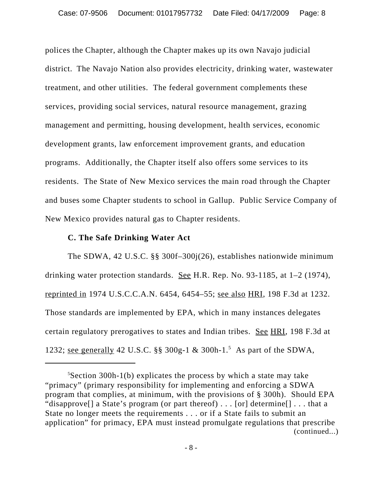polices the Chapter, although the Chapter makes up its own Navajo judicial district. The Navajo Nation also provides electricity, drinking water, wastewater treatment, and other utilities. The federal government complements these services, providing social services, natural resource management, grazing management and permitting, housing development, health services, economic development grants, law enforcement improvement grants, and education programs. Additionally, the Chapter itself also offers some services to its residents. The State of New Mexico services the main road through the Chapter and buses some Chapter students to school in Gallup. Public Service Company of New Mexico provides natural gas to Chapter residents.

### **C. The Safe Drinking Water Act**

The SDWA, 42 U.S.C. §§ 300f–300j(26), establishes nationwide minimum drinking water protection standards. See H.R. Rep. No. 93-1185, at  $1-2$  (1974), reprinted in 1974 U.S.C.C.A.N. 6454, 6454–55; see also HRI, 198 F.3d at 1232. Those standards are implemented by EPA, which in many instances delegates certain regulatory prerogatives to states and Indian tribes. See HRI, 198 F.3d at 1232; <u>see generally</u> 42 U.S.C. §§ 300g-1 & 300h-1.<sup>5</sup> As part of the SDWA,

<sup>5</sup> Section 300h-1(b) explicates the process by which a state may take "primacy" (primary responsibility for implementing and enforcing a SDWA program that complies, at minimum, with the provisions of § 300h). Should EPA "disapprove<sup>[]</sup> a State's program (or part thereof) . . . [or] determine<sup>[]</sup> . . . that a State no longer meets the requirements . . . or if a State fails to submit an application" for primacy, EPA must instead promulgate regulations that prescribe (continued...)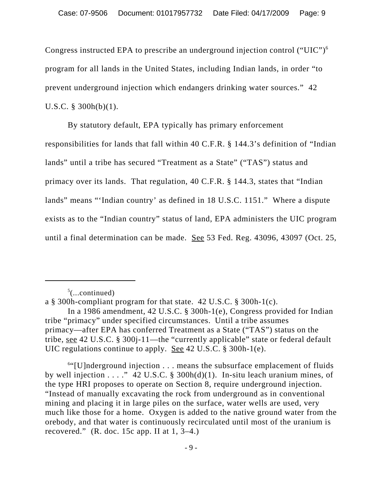Congress instructed EPA to prescribe an underground injection control ("UIC")6 program for all lands in the United States, including Indian lands, in order "to prevent underground injection which endangers drinking water sources." 42 U.S.C. § 300h(b)(1).

By statutory default, EPA typically has primary enforcement responsibilities for lands that fall within 40 C.F.R. § 144.3's definition of "Indian lands" until a tribe has secured "Treatment as a State" ("TAS") status and primacy over its lands. That regulation, 40 C.F.R. § 144.3, states that "Indian lands" means "'Indian country' as defined in 18 U.S.C. 1151." Where a dispute exists as to the "Indian country" status of land, EPA administers the UIC program until a final determination can be made. See 53 Fed. Reg. 43096, 43097 (Oct. 25,

 $5$ (...continued)

6 "[U]nderground injection . . . means the subsurface emplacement of fluids by well injection . . . . "42 U.S.C. § 300h(d)(1). In-situ leach uranium mines, of the type HRI proposes to operate on Section 8, require underground injection. "Instead of manually excavating the rock from underground as in conventional mining and placing it in large piles on the surface, water wells are used, very much like those for a home. Oxygen is added to the native ground water from the orebody, and that water is continuously recirculated until most of the uranium is recovered." (R. doc. 15c app. II at  $1, 3-4$ .)

a § 300h-compliant program for that state. 42 U.S.C. § 300h-1(c).

In a 1986 amendment, 42 U.S.C. § 300h-1(e), Congress provided for Indian tribe "primacy" under specified circumstances. Until a tribe assumes primacy—after EPA has conferred Treatment as a State ("TAS") status on the tribe, see 42 U.S.C. § 300j-11—the "currently applicable" state or federal default UIC regulations continue to apply. See 42 U.S.C. § 300h-1(e).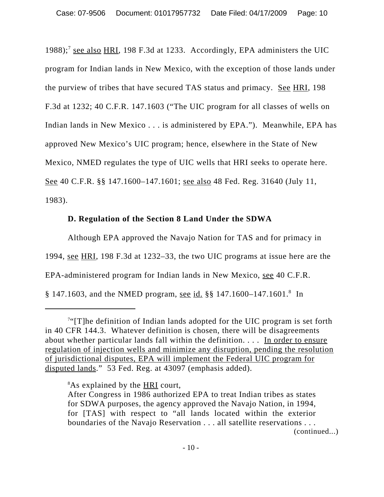1988);<sup>7</sup> see also HRI, 198 F.3d at 1233. Accordingly, EPA administers the UIC program for Indian lands in New Mexico, with the exception of those lands under the purview of tribes that have secured TAS status and primacy. See HRI, 198 F.3d at 1232; 40 C.F.R. 147.1603 ("The UIC program for all classes of wells on Indian lands in New Mexico . . . is administered by EPA."). Meanwhile, EPA has approved New Mexico's UIC program; hence, elsewhere in the State of New Mexico, NMED regulates the type of UIC wells that HRI seeks to operate here. See 40 C.F.R. §§ 147.1600–147.1601; see also 48 Fed. Reg. 31640 (July 11, 1983).

# **D. Regulation of the Section 8 Land Under the SDWA**

Although EPA approved the Navajo Nation for TAS and for primacy in 1994, see HRI, 198 F.3d at 1232–33, the two UIC programs at issue here are the EPA-administered program for Indian lands in New Mexico, see 40 C.F.R. § 147.1603, and the NMED program, see id. §§ 147.1600–147.1601.<sup>8</sup> In

<sup>&</sup>lt;sup>7"</sup>[T]he definition of Indian lands adopted for the UIC program is set forth in 40 CFR 144.3. Whatever definition is chosen, there will be disagreements about whether particular lands fall within the definition.  $\ldots$  In order to ensure regulation of injection wells and minimize any disruption, pending the resolution of jurisdictional disputes, EPA will implement the Federal UIC program for disputed lands." 53 Fed. Reg. at 43097 (emphasis added).

<sup>&</sup>lt;sup>8</sup>As explained by the **HRI** court,

After Congress in 1986 authorized EPA to treat Indian tribes as states for SDWA purposes, the agency approved the Navajo Nation, in 1994, for [TAS] with respect to "all lands located within the exterior boundaries of the Navajo Reservation . . . all satellite reservations . . . (continued...)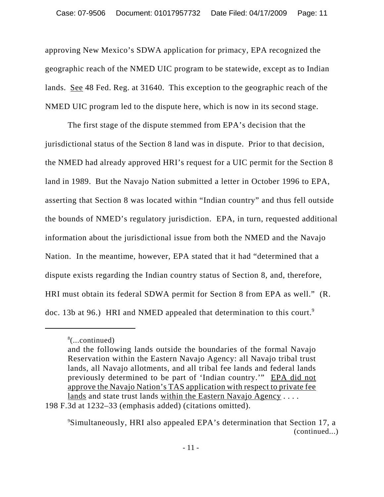approving New Mexico's SDWA application for primacy, EPA recognized the geographic reach of the NMED UIC program to be statewide, except as to Indian lands. See 48 Fed. Reg. at 31640. This exception to the geographic reach of the NMED UIC program led to the dispute here, which is now in its second stage.

The first stage of the dispute stemmed from EPA's decision that the jurisdictional status of the Section 8 land was in dispute. Prior to that decision, the NMED had already approved HRI's request for a UIC permit for the Section 8 land in 1989. But the Navajo Nation submitted a letter in October 1996 to EPA, asserting that Section 8 was located within "Indian country" and thus fell outside the bounds of NMED's regulatory jurisdiction. EPA, in turn, requested additional information about the jurisdictional issue from both the NMED and the Navajo Nation. In the meantime, however, EPA stated that it had "determined that a dispute exists regarding the Indian country status of Section 8, and, therefore, HRI must obtain its federal SDWA permit for Section 8 from EPA as well." (R. doc. 13b at 96.) HRI and NMED appealed that determination to this court.<sup>9</sup>

<sup>8</sup> (...continued)

and the following lands outside the boundaries of the formal Navajo Reservation within the Eastern Navajo Agency: all Navajo tribal trust lands, all Navajo allotments, and all tribal fee lands and federal lands previously determined to be part of 'Indian country.'" EPA did not approve the Navajo Nation's TAS application with respect to private fee lands and state trust lands within the Eastern Navajo Agency . . . .

<sup>198</sup> F.3d at 1232–33 (emphasis added) (citations omitted).

<sup>9</sup> Simultaneously, HRI also appealed EPA's determination that Section 17, a (continued...)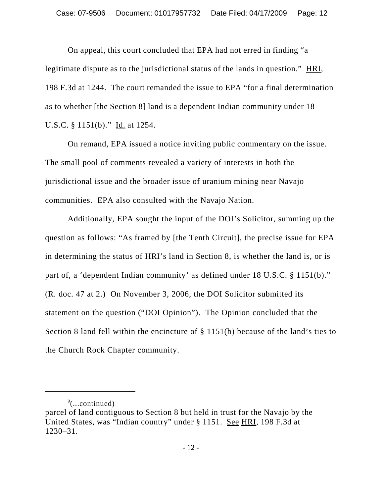On appeal, this court concluded that EPA had not erred in finding "a legitimate dispute as to the jurisdictional status of the lands in question." HRI, 198 F.3d at 1244. The court remanded the issue to EPA "for a final determination as to whether [the Section 8] land is a dependent Indian community under 18 U.S.C. § 1151(b)." Id. at 1254.

On remand, EPA issued a notice inviting public commentary on the issue. The small pool of comments revealed a variety of interests in both the jurisdictional issue and the broader issue of uranium mining near Navajo communities.EPA also consulted with the Navajo Nation.

Additionally, EPA sought the input of the DOI's Solicitor, summing up the question as follows: "As framed by [the Tenth Circuit], the precise issue for EPA in determining the status of HRI's land in Section 8, is whether the land is, or is part of, a 'dependent Indian community' as defined under 18 U.S.C. § 1151(b)." (R. doc. 47 at 2.) On November 3, 2006, the DOI Solicitor submitted its statement on the question ("DOI Opinion"). The Opinion concluded that the Section 8 land fell within the encincture of § 1151(b) because of the land's ties to the Church Rock Chapter community.

 $\sqrt[9]{$ ...continued)

parcel of land contiguous to Section 8 but held in trust for the Navajo by the United States, was "Indian country" under § 1151. See HRI, 198 F.3d at 1230–31.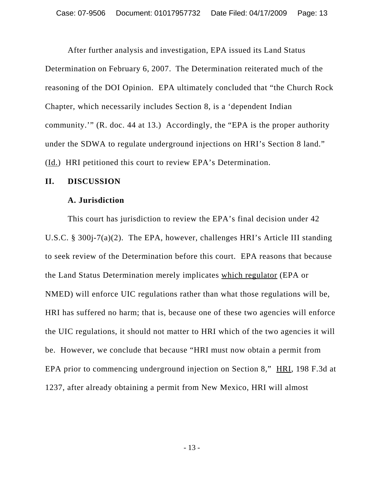After further analysis and investigation, EPA issued its Land Status Determination on February 6, 2007. The Determination reiterated much of the reasoning of the DOI Opinion. EPA ultimately concluded that "the Church Rock Chapter, which necessarily includes Section 8, is a 'dependent Indian community.'" (R. doc. 44 at 13.) Accordingly, the "EPA is the proper authority under the SDWA to regulate underground injections on HRI's Section 8 land." (Id.) HRI petitioned this court to review EPA's Determination.

#### **II. DISCUSSION**

#### **A. Jurisdiction**

This court has jurisdiction to review the EPA's final decision under 42 U.S.C. § 300j-7(a)(2). The EPA, however, challenges HRI's Article III standing to seek review of the Determination before this court. EPA reasons that because the Land Status Determination merely implicates which regulator (EPA or NMED) will enforce UIC regulations rather than what those regulations will be, HRI has suffered no harm; that is, because one of these two agencies will enforce the UIC regulations, it should not matter to HRI which of the two agencies it will be. However, we conclude that because "HRI must now obtain a permit from EPA prior to commencing underground injection on Section 8," HRI, 198 F.3d at 1237, after already obtaining a permit from New Mexico, HRI will almost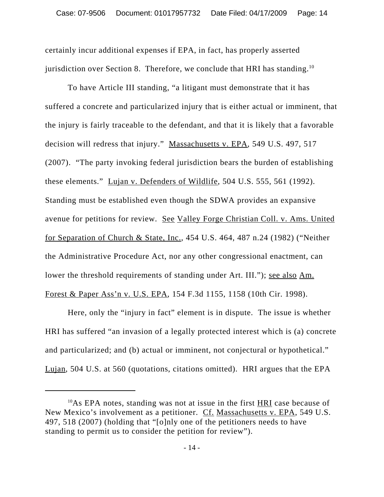certainly incur additional expenses if EPA, in fact, has properly asserted jurisdiction over Section 8. Therefore, we conclude that HRI has standing.<sup>10</sup>

To have Article III standing, "a litigant must demonstrate that it has suffered a concrete and particularized injury that is either actual or imminent, that the injury is fairly traceable to the defendant, and that it is likely that a favorable decision will redress that injury." Massachusetts v. EPA, 549 U.S. 497, 517 (2007). "The party invoking federal jurisdiction bears the burden of establishing these elements." Lujan v. Defenders of Wildlife, 504 U.S. 555, 561 (1992). Standing must be established even though the SDWA provides an expansive avenue for petitions for review. See Valley Forge Christian Coll. v. Ams. United for Separation of Church & State, Inc., 454 U.S. 464, 487 n.24 (1982) ("Neither the Administrative Procedure Act, nor any other congressional enactment, can lower the threshold requirements of standing under Art. III."); <u>see also Am.</u> Forest & Paper Ass'n v. U.S. EPA, 154 F.3d 1155, 1158 (10th Cir. 1998).

Here, only the "injury in fact" element is in dispute. The issue is whether HRI has suffered "an invasion of a legally protected interest which is (a) concrete and particularized; and (b) actual or imminent, not conjectural or hypothetical." Lujan, 504 U.S. at 560 (quotations, citations omitted). HRI argues that the EPA

 $10As$  EPA notes, standing was not at issue in the first  $HRI$  case because of New Mexico's involvement as a petitioner. Cf. Massachusetts v. EPA, 549 U.S. 497, 518 (2007) (holding that "[o]nly one of the petitioners needs to have standing to permit us to consider the petition for review").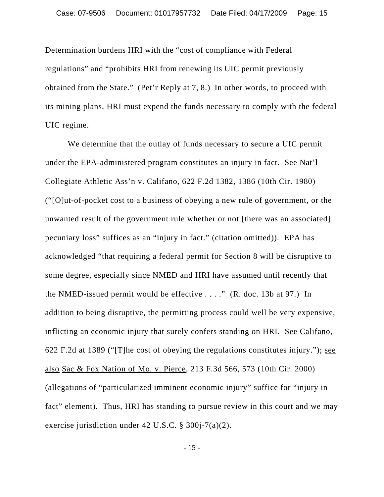Determination burdens HRI with the "cost of compliance with Federal regulations" and "prohibits HRI from renewing its UIC permit previously obtained from the State." (Pet'r Reply at 7, 8.) In other words, to proceed with its mining plans, HRI must expend the funds necessary to comply with the federal UIC regime.

We determine that the outlay of funds necessary to secure a UIC permit under the EPA-administered program constitutes an injury in fact. See Nat'l Collegiate Athletic Ass'n v. Califano, 622 F.2d 1382, 1386 (10th Cir. 1980) ("[O]ut-of-pocket cost to a business of obeying a new rule of government, or the unwanted result of the government rule whether or not [there was an associated] pecuniary loss" suffices as an "injury in fact." (citation omitted)). EPA has acknowledged "that requiring a federal permit for Section 8 will be disruptive to some degree, especially since NMED and HRI have assumed until recently that the NMED-issued permit would be effective  $\dots$ ." (R. doc. 13b at 97.) In addition to being disruptive, the permitting process could well be very expensive, inflicting an economic injury that surely confers standing on HRI. See Califano, 622 F.2d at 1389 ("[T]he cost of obeying the regulations constitutes injury."); see also Sac & Fox Nation of Mo. v. Pierce, 213 F.3d 566, 573 (10th Cir. 2000) (allegations of "particularized imminent economic injury" suffice for "injury in fact" element). Thus, HRI has standing to pursue review in this court and we may exercise jurisdiction under 42 U.S.C. § 300j-7(a)(2).

- 15 -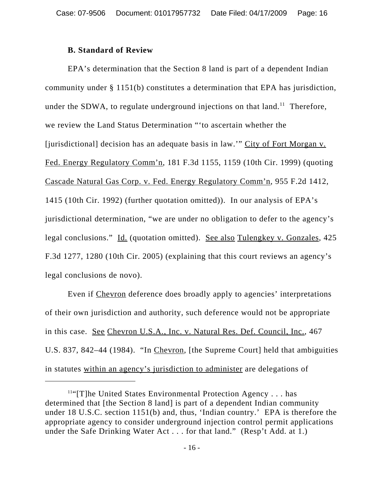## **B. Standard of Review**

EPA's determination that the Section 8 land is part of a dependent Indian community under § 1151(b) constitutes a determination that EPA has jurisdiction, under the SDWA, to regulate underground injections on that  $land.^1$  Therefore, we review the Land Status Determination "'to ascertain whether the [jurisdictional] decision has an adequate basis in law.'" City of Fort Morgan v. Fed. Energy Regulatory Comm'n, 181 F.3d 1155, 1159 (10th Cir. 1999) (quoting Cascade Natural Gas Corp. v. Fed. Energy Regulatory Comm'n, 955 F.2d 1412, 1415 (10th Cir. 1992) (further quotation omitted)). In our analysis of EPA's jurisdictional determination, "we are under no obligation to defer to the agency's legal conclusions." Id. (quotation omitted). See also Tulengkey v. Gonzales, 425 F.3d 1277, 1280 (10th Cir. 2005) (explaining that this court reviews an agency's legal conclusions de novo).

Even if Chevron deference does broadly apply to agencies' interpretations of their own jurisdiction and authority, such deference would not be appropriate in this case. See Chevron U.S.A., Inc. v. Natural Res. Def. Council, Inc., 467 U.S. 837, 842–44 (1984). "In Chevron, [the Supreme Court] held that ambiguities in statutes within an agency's jurisdiction to administer are delegations of

 $11$ "[T]he United States Environmental Protection Agency . . . has determined that [the Section 8 land] is part of a dependent Indian community under 18 U.S.C. section 1151(b) and, thus, 'Indian country.' EPA is therefore the appropriate agency to consider underground injection control permit applications under the Safe Drinking Water Act . . . for that land." (Resp't Add. at 1.)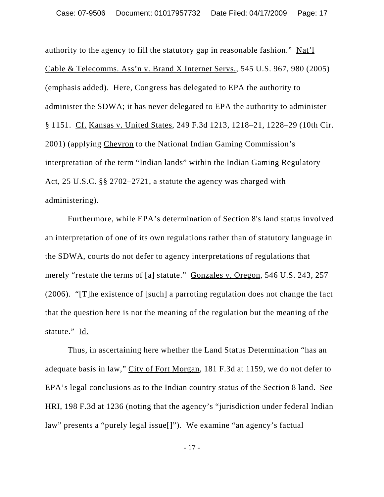authority to the agency to fill the statutory gap in reasonable fashion." Nat'l Cable & Telecomms. Ass'n v. Brand X Internet Servs., 545 U.S. 967, 980 (2005) (emphasis added). Here, Congress has delegated to EPA the authority to administer the SDWA; it has never delegated to EPA the authority to administer § 1151. Cf. Kansas v. United States, 249 F.3d 1213, 1218–21, 1228–29 (10th Cir. 2001) (applying Chevron to the National Indian Gaming Commission's interpretation of the term "Indian lands" within the Indian Gaming Regulatory Act, 25 U.S.C. §§ 2702–2721, a statute the agency was charged with administering).

Furthermore, while EPA's determination of Section 8's land status involved an interpretation of one of its own regulations rather than of statutory language in the SDWA, courts do not defer to agency interpretations of regulations that merely "restate the terms of [a] statute." Gonzales v. Oregon, 546 U.S. 243, 257 (2006). "[T]he existence of [such] a parroting regulation does not change the fact that the question here is not the meaning of the regulation but the meaning of the statute." Id.

Thus, in ascertaining here whether the Land Status Determination "has an adequate basis in law," City of Fort Morgan, 181 F.3d at 1159, we do not defer to EPA's legal conclusions as to the Indian country status of the Section 8 land. See HRI, 198 F.3d at 1236 (noting that the agency's "jurisdiction under federal Indian law" presents a "purely legal issue[]"). We examine "an agency's factual

- 17 -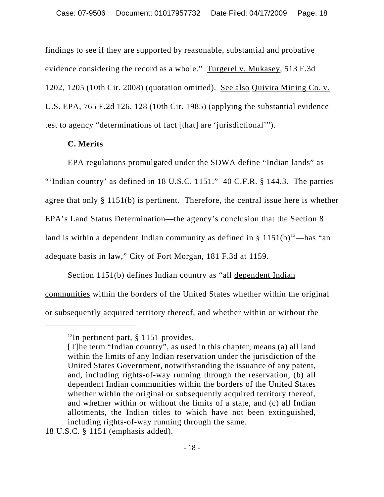findings to see if they are supported by reasonable, substantial and probative evidence considering the record as a whole." Turgerel v. Mukasey, 513 F.3d 1202, 1205 (10th Cir. 2008) (quotation omitted). See also Quivira Mining Co. v. U.S. EPA, 765 F.2d 126, 128 (10th Cir. 1985) (applying the substantial evidence test to agency "determinations of fact [that] are 'jurisdictional'").

## **C. Merits**

EPA regulations promulgated under the SDWA define "Indian lands" as "'Indian country' as defined in 18 U.S.C. 1151." 40 C.F.R. § 144.3. The parties agree that only § 1151(b) is pertinent. Therefore, the central issue here is whether EPA's Land Status Determination—the agency's conclusion that the Section 8 land is within a dependent Indian community as defined in  $\S$  1151(b)<sup>12</sup>—has "an adequate basis in law," City of Fort Morgan, 181 F.3d at 1159.

Section 1151(b) defines Indian country as "all dependent Indian communities within the borders of the United States whether within the original or subsequently acquired territory thereof, and whether within or without the

 $12$ In pertinent part, § 1151 provides,

<sup>[</sup>T]he term "Indian country", as used in this chapter, means (a) all land within the limits of any Indian reservation under the jurisdiction of the United States Government, notwithstanding the issuance of any patent, and, including rights-of-way running through the reservation, (b) all dependent Indian communities within the borders of the United States whether within the original or subsequently acquired territory thereof, and whether within or without the limits of a state, and (c) all Indian allotments, the Indian titles to which have not been extinguished, including rights-of-way running through the same.

<sup>18</sup> U.S.C. § 1151 (emphasis added).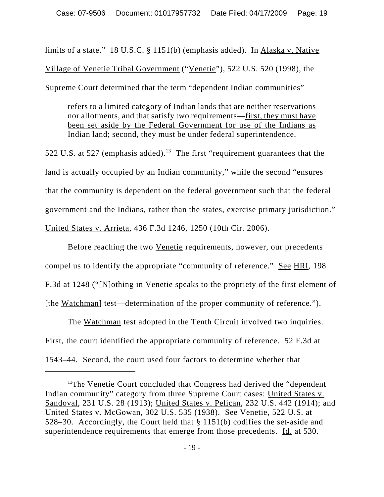limits of a state." 18 U.S.C. § 1151(b) (emphasis added). In Alaska v. Native Village of Venetie Tribal Government ("Venetie"), 522 U.S. 520 (1998), the Supreme Court determined that the term "dependent Indian communities"

refers to a limited category of Indian lands that are neither reservations nor allotments, and that satisfy two requirements—first, they must have been set aside by the Federal Government for use of the Indians as Indian land; second, they must be under federal superintendence.

522 U.S. at 527 (emphasis added).<sup>13</sup> The first "requirement guarantees that the land is actually occupied by an Indian community," while the second "ensures that the community is dependent on the federal government such that the federal government and the Indians, rather than the states, exercise primary jurisdiction." United States v. Arrieta, 436 F.3d 1246, 1250 (10th Cir. 2006).

Before reaching the two Venetie requirements, however, our precedents compel us to identify the appropriate "community of reference." See HRI, 198 F.3d at 1248 ("[N]othing in Venetie speaks to the propriety of the first element of [the Watchman] test—determination of the proper community of reference.").

The Watchman test adopted in the Tenth Circuit involved two inquiries. First, the court identified the appropriate community of reference. 52 F.3d at 1543–44. Second, the court used four factors to determine whether that

<sup>&</sup>lt;sup>13</sup>The Venetie Court concluded that Congress had derived the "dependent" Indian community" category from three Supreme Court cases: United States v. Sandoval, 231 U.S. 28 (1913); United States v. Pelican, 232 U.S. 442 (1914); and United States v. McGowan, 302 U.S. 535 (1938). See Venetie, 522 U.S. at 528–30. Accordingly, the Court held that § 1151(b) codifies the set-aside and superintendence requirements that emerge from those precedents. Id. at 530.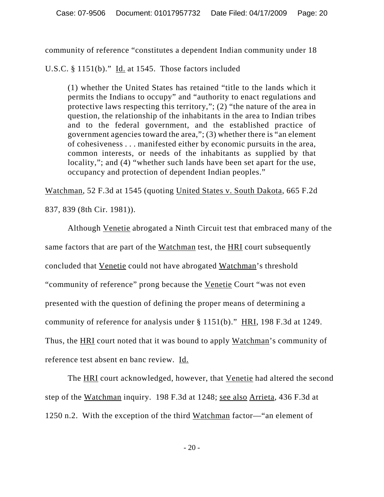community of reference "constitutes a dependent Indian community under 18

U.S.C.  $§ 1151(b)$ ." Id. at 1545. Those factors included

(1) whether the United States has retained "title to the lands which it permits the Indians to occupy" and "authority to enact regulations and protective laws respecting this territory,"; (2) "the nature of the area in question, the relationship of the inhabitants in the area to Indian tribes and to the federal government, and the established practice of government agencies toward the area,"; (3) whether there is "an element of cohesiveness . . . manifested either by economic pursuits in the area, common interests, or needs of the inhabitants as supplied by that locality,"; and (4) "whether such lands have been set apart for the use, occupancy and protection of dependent Indian peoples."

Watchman, 52 F.3d at 1545 (quoting United States v. South Dakota, 665 F.2d

837, 839 (8th Cir. 1981)).

Although Venetie abrogated a Ninth Circuit test that embraced many of the same factors that are part of the Watchman test, the HRI court subsequently concluded that Venetie could not have abrogated Watchman's threshold "community of reference" prong because the Venetie Court "was not even presented with the question of defining the proper means of determining a community of reference for analysis under § 1151(b)." HRI, 198 F.3d at 1249. Thus, the **HRI** court noted that it was bound to apply **Watchman**'s community of reference test absent en banc review. Id.

The HRI court acknowledged, however, that Venetie had altered the second step of the Watchman inquiry. 198 F.3d at 1248; see also Arrieta, 436 F.3d at 1250 n.2. With the exception of the third Watchman factor—"an element of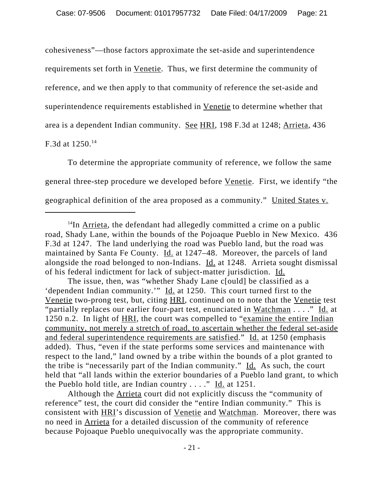cohesiveness"—those factors approximate the set-aside and superintendence requirements set forth in Venetie. Thus, we first determine the community of reference, and we then apply to that community of reference the set-aside and superintendence requirements established in Venetie to determine whether that area is a dependent Indian community. See HRI, 198 F.3d at 1248; Arrieta, 436 F.3d at 1250.14

To determine the appropriate community of reference, we follow the same general three-step procedure we developed before Venetie. First, we identify "the geographical definition of the area proposed as a community." United States v.

The issue, then, was "whether Shady Lane c[ould] be classified as a 'dependent Indian community.'" Id. at 1250. This court turned first to the Venetie two-prong test, but, citing HRI, continued on to note that the Venetie test "partially replaces our earlier four-part test, enunciated in Watchman . . . ." Id. at 1250 n.2. In light of HRI, the court was compelled to "examine the entire Indian community, not merely a stretch of road, to ascertain whether the federal set-aside and federal superintendence requirements are satisfied." Id. at 1250 (emphasis added). Thus, "even if the state performs some services and maintenance with respect to the land," land owned by a tribe within the bounds of a plot granted to the tribe is "necessarily part of the Indian community." Id. As such, the court held that "all lands within the exterior boundaries of a Pueblo land grant, to which the Pueblo hold title, are Indian country . . . ." Id. at 1251.

Although the Arrieta court did not explicitly discuss the "community of reference" test, the court did consider the "entire Indian community." This is consistent with HRI's discussion of Venetie and Watchman. Moreover, there was no need in Arrieta for a detailed discussion of the community of reference because Pojoaque Pueblo unequivocally was the appropriate community.

 $14$ In Arrieta, the defendant had allegedly committed a crime on a public road, Shady Lane, within the bounds of the Pojoaque Pueblo in New Mexico. 436 F.3d at 1247. The land underlying the road was Pueblo land, but the road was maintained by Santa Fe County. Id. at 1247–48. Moreover, the parcels of land alongside the road belonged to non-Indians. Id. at 1248. Arrieta sought dismissal of his federal indictment for lack of subject-matter jurisdiction. Id.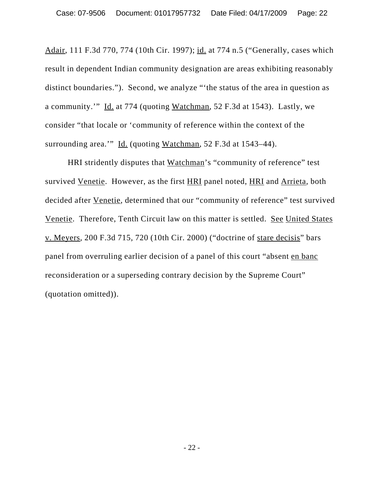Adair, 111 F.3d 770, 774 (10th Cir. 1997); id. at 774 n.5 ("Generally, cases which result in dependent Indian community designation are areas exhibiting reasonably distinct boundaries."). Second, we analyze "'the status of the area in question as a community.'" Id. at 774 (quoting Watchman, 52 F.3d at 1543). Lastly, we consider "that locale or 'community of reference within the context of the surrounding area.'" Id. (quoting Watchman, 52 F.3d at 1543–44).

HRI stridently disputes that Watchman's "community of reference" test survived Venetie. However, as the first HRI panel noted, HRI and Arrieta, both decided after Venetie, determined that our "community of reference" test survived Venetie. Therefore, Tenth Circuit law on this matter is settled. See United States v. Meyers, 200 F.3d 715, 720 (10th Cir. 2000) ("doctrine of stare decisis" bars panel from overruling earlier decision of a panel of this court "absent en banc reconsideration or a superseding contrary decision by the Supreme Court" (quotation omitted)).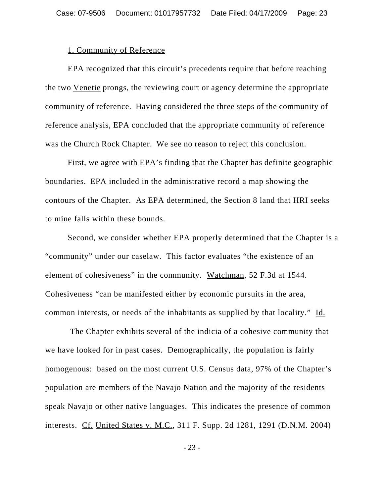#### 1. Community of Reference

EPA recognized that this circuit's precedents require that before reaching the two Venetie prongs, the reviewing court or agency determine the appropriate community of reference. Having considered the three steps of the community of reference analysis, EPA concluded that the appropriate community of reference was the Church Rock Chapter. We see no reason to reject this conclusion.

First, we agree with EPA's finding that the Chapter has definite geographic boundaries. EPA included in the administrative record a map showing the contours of the Chapter.As EPA determined, the Section 8 land that HRI seeks to mine falls within these bounds.

Second, we consider whether EPA properly determined that the Chapter is a "community" under our caselaw. This factor evaluates "the existence of an element of cohesiveness" in the community. Watchman, 52 F.3d at 1544. Cohesiveness "can be manifested either by economic pursuits in the area, common interests, or needs of the inhabitants as supplied by that locality." Id.

 The Chapter exhibits several of the indicia of a cohesive community that we have looked for in past cases. Demographically, the population is fairly homogenous: based on the most current U.S. Census data, 97% of the Chapter's population are members of the Navajo Nation and the majority of the residents speak Navajo or other native languages. This indicates the presence of common interests. Cf. United States v. M.C., 311 F. Supp. 2d 1281, 1291 (D.N.M. 2004)

- 23 -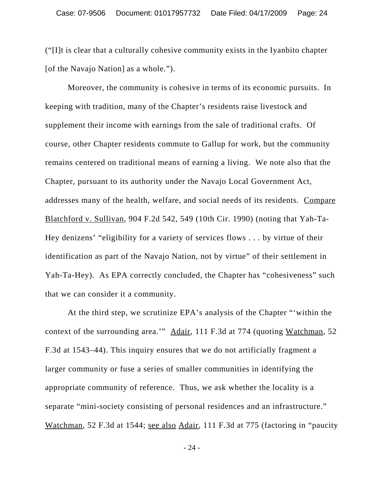("[I]t is clear that a culturally cohesive community exists in the Iyanbito chapter [of the Navajo Nation] as a whole.").

Moreover, the community is cohesive in terms of its economic pursuits. In keeping with tradition, many of the Chapter's residents raise livestock and supplement their income with earnings from the sale of traditional crafts. Of course, other Chapter residents commute to Gallup for work, but the community remains centered on traditional means of earning a living. We note also that the Chapter, pursuant to its authority under the Navajo Local Government Act, addresses many of the health, welfare, and social needs of its residents. Compare Blatchford v. Sullivan, 904 F.2d 542, 549 (10th Cir. 1990) (noting that Yah-Ta-Hey denizens' "eligibility for a variety of services flows . . . by virtue of their identification as part of the Navajo Nation, not by virtue" of their settlement in Yah-Ta-Hey). As EPA correctly concluded, the Chapter has "cohesiveness" such that we can consider it a community.

At the third step, we scrutinize EPA's analysis of the Chapter "'within the context of the surrounding area.'" Adair, 111 F.3d at 774 (quoting Watchman, 52 F.3d at 1543–44). This inquiry ensures that we do not artificially fragment a larger community or fuse a series of smaller communities in identifying the appropriate community of reference. Thus, we ask whether the locality is a separate "mini-society consisting of personal residences and an infrastructure." Watchman, 52 F.3d at 1544; see also Adair, 111 F.3d at 775 (factoring in "paucity

- 24 -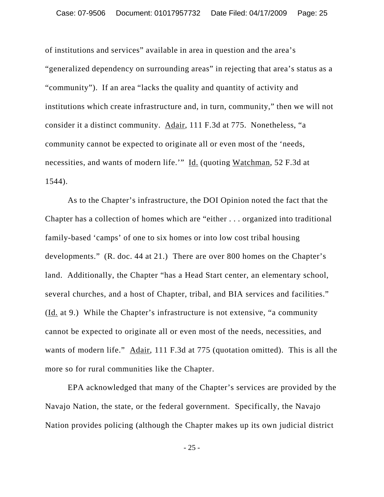of institutions and services" available in area in question and the area's "generalized dependency on surrounding areas" in rejecting that area's status as a "community"). If an area "lacks the quality and quantity of activity and institutions which create infrastructure and, in turn, community," then we will not consider it a distinct community. Adair, 111 F.3d at 775. Nonetheless, "a community cannot be expected to originate all or even most of the 'needs, necessities, and wants of modern life.'" Id. (quoting Watchman, 52 F.3d at 1544).

As to the Chapter's infrastructure, the DOI Opinion noted the fact that the Chapter has a collection of homes which are "either . . . organized into traditional family-based 'camps' of one to six homes or into low cost tribal housing developments." (R. doc. 44 at 21.)There are over 800 homes on the Chapter's land. Additionally, the Chapter "has a Head Start center, an elementary school, several churches, and a host of Chapter, tribal, and BIA services and facilities." (Id. at 9.)While the Chapter's infrastructure is not extensive, "a community cannot be expected to originate all or even most of the needs, necessities, and wants of modern life." Adair, 111 F.3d at 775 (quotation omitted). This is all the more so for rural communities like the Chapter.

EPA acknowledged that many of the Chapter's services are provided by the Navajo Nation, the state, or the federal government.Specifically, the Navajo Nation provides policing (although the Chapter makes up its own judicial district

- 25 -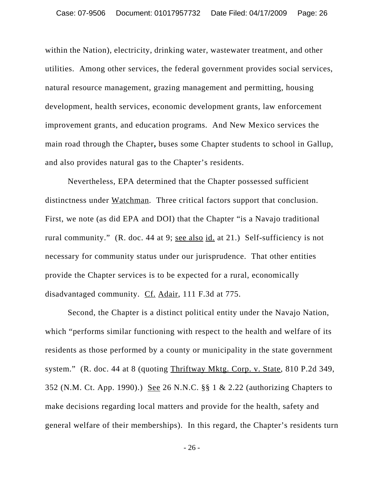within the Nation), electricity, drinking water, wastewater treatment, and other utilities.Among other services, the federal government provides social services, natural resource management, grazing management and permitting, housing development, health services, economic development grants, law enforcement improvement grants, and education programs. And New Mexico services the main road through the Chapter**,** buses some Chapter students to school in Gallup, and also provides natural gas to the Chapter's residents.

Nevertheless, EPA determined that the Chapter possessed sufficient distinctness under Watchman. Three critical factors support that conclusion. First, we note (as did EPA and DOI) that the Chapter "is a Navajo traditional rural community." (R. doc. 44 at 9; see also id. at 21.) Self-sufficiency is not necessary for community status under our jurisprudence. That other entities provide the Chapter services is to be expected for a rural, economically disadvantaged community. Cf. Adair, 111 F.3d at 775.

Second, the Chapter is a distinct political entity under the Navajo Nation, which "performs similar functioning with respect to the health and welfare of its residents as those performed by a county or municipality in the state government system." (R. doc. 44 at 8 (quoting Thriftway Mktg. Corp. v. State, 810 P.2d 349, 352 (N.M. Ct. App. 1990).) See 26 N.N.C. §§ 1 & 2.22 (authorizing Chapters to make decisions regarding local matters and provide for the health, safety and general welfare of their memberships). In this regard, the Chapter's residents turn

- 26 -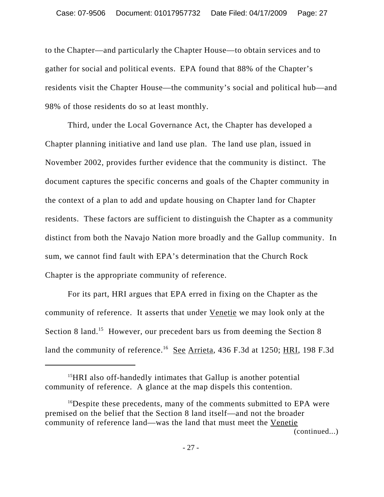to the Chapter—and particularly the Chapter House—to obtain services and to gather for social and political events. EPA found that 88% of the Chapter's residents visit the Chapter House—the community's social and political hub—and 98% of those residents do so at least monthly.

Third, under the Local Governance Act, the Chapter has developed a Chapter planning initiative and land use plan. The land use plan, issued in November 2002, provides further evidence that the community is distinct. The document captures the specific concerns and goals of the Chapter community in the context of a plan to add and update housing on Chapter land for Chapter residents. These factors are sufficient to distinguish the Chapter as a community distinct from both the Navajo Nation more broadly and the Gallup community. In sum, we cannot find fault with EPA's determination that the Church Rock Chapter is the appropriate community of reference.

For its part, HRI argues that EPA erred in fixing on the Chapter as the community of reference. It asserts that under Venetie we may look only at the Section 8 land.<sup>15</sup> However, our precedent bars us from deeming the Section 8 land the community of reference.<sup>16</sup> See Arrieta, 436 F.3d at 1250; HRI, 198 F.3d

(continued...)

<sup>&</sup>lt;sup>15</sup>HRI also off-handedly intimates that Gallup is another potential community of reference. A glance at the map dispels this contention.

<sup>&</sup>lt;sup>16</sup>Despite these precedents, many of the comments submitted to EPA were premised on the belief that the Section 8 land itself—and not the broader community of reference land—was the land that must meet the Venetie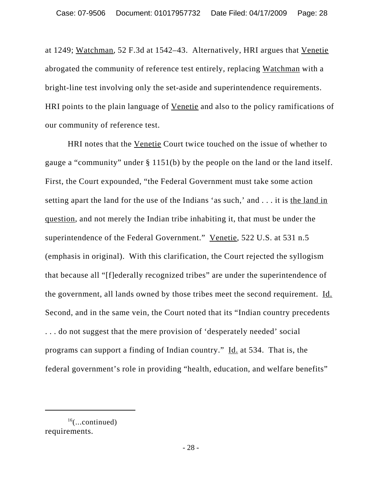at 1249; Watchman, 52 F.3d at 1542–43. Alternatively, HRI argues that Venetie abrogated the community of reference test entirely, replacing Watchman with a bright-line test involving only the set-aside and superintendence requirements. HRI points to the plain language of Venetie and also to the policy ramifications of our community of reference test.

HRI notes that the Venetie Court twice touched on the issue of whether to gauge a "community" under § 1151(b) by the people on the land or the land itself. First, the Court expounded, "the Federal Government must take some action setting apart the land for the use of the Indians 'as such,' and . . . it is the land in question, and not merely the Indian tribe inhabiting it, that must be under the superintendence of the Federal Government." Venetie, 522 U.S. at 531 n.5 (emphasis in original). With this clarification, the Court rejected the syllogism that because all "[f]ederally recognized tribes" are under the superintendence of the government, all lands owned by those tribes meet the second requirement. Id. Second, and in the same vein, the Court noted that its "Indian country precedents . . . do not suggest that the mere provision of 'desperately needed' social programs can support a finding of Indian country." Id. at 534. That is, the federal government's role in providing "health, education, and welfare benefits"

 $16$ (...continued) requirements.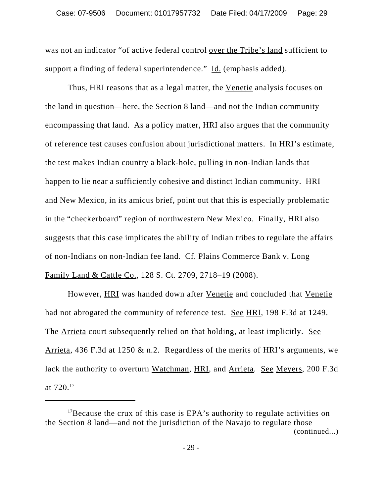was not an indicator "of active federal control over the Tribe's land sufficient to support a finding of federal superintendence." Id. (emphasis added).

Thus, HRI reasons that as a legal matter, the Venetie analysis focuses on the land in question—here, the Section 8 land—and not the Indian community encompassing that land. As a policy matter, HRI also argues that the community of reference test causes confusion about jurisdictional matters. In HRI's estimate, the test makes Indian country a black-hole, pulling in non-Indian lands that happen to lie near a sufficiently cohesive and distinct Indian community. HRI and New Mexico, in its amicus brief, point out that this is especially problematic in the "checkerboard" region of northwestern New Mexico. Finally, HRI also suggests that this case implicates the ability of Indian tribes to regulate the affairs of non-Indians on non-Indian fee land. Cf. Plains Commerce Bank v. Long Family Land & Cattle Co., 128 S. Ct. 2709, 2718–19 (2008).

However, HRI was handed down after Venetie and concluded that Venetie had not abrogated the community of reference test. See HRI, 198 F.3d at 1249. The Arrieta court subsequently relied on that holding, at least implicitly. See Arrieta, 436 F.3d at 1250 & n.2. Regardless of the merits of HRI's arguments, we lack the authority to overturn Watchman, HRI, and Arrieta. See Meyers, 200 F.3d at  $720^{17}$ 

 $17$ Because the crux of this case is EPA's authority to regulate activities on the Section 8 land—and not the jurisdiction of the Navajo to regulate those (continued...)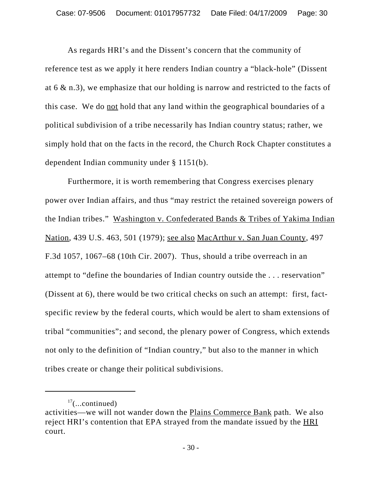As regards HRI's and the Dissent's concern that the community of reference test as we apply it here renders Indian country a "black-hole" (Dissent at 6 & n.3), we emphasize that our holding is narrow and restricted to the facts of this case. We do not hold that any land within the geographical boundaries of a political subdivision of a tribe necessarily has Indian country status; rather, we simply hold that on the facts in the record, the Church Rock Chapter constitutes a dependent Indian community under § 1151(b).

Furthermore, it is worth remembering that Congress exercises plenary power over Indian affairs, and thus "may restrict the retained sovereign powers of the Indian tribes." Washington v. Confederated Bands & Tribes of Yakima Indian Nation, 439 U.S. 463, 501 (1979); see also MacArthur v. San Juan County, 497 F.3d 1057, 1067–68 (10th Cir. 2007). Thus, should a tribe overreach in an attempt to "define the boundaries of Indian country outside the . . . reservation" (Dissent at 6), there would be two critical checks on such an attempt: first, factspecific review by the federal courts, which would be alert to sham extensions of tribal "communities"; and second, the plenary power of Congress, which extends not only to the definition of "Indian country," but also to the manner in which tribes create or change their political subdivisions.

 $17$ (...continued)

activities—we will not wander down the Plains Commerce Bank path. We also reject HRI's contention that EPA strayed from the mandate issued by the HRI court.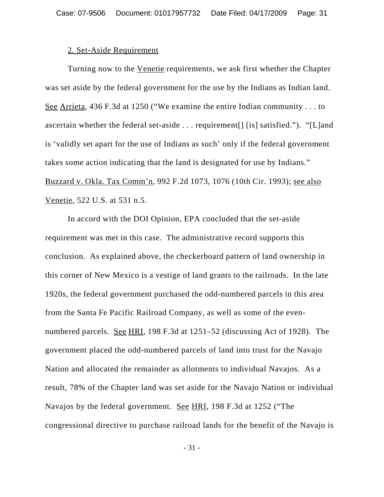#### 2. Set-Aside Requirement

Turning now to the Venetie requirements, we ask first whether the Chapter was set aside by the federal government for the use by the Indians as Indian land. See Arrieta, 436 F.3d at 1250 ("We examine the entire Indian community . . . to ascertain whether the federal set-aside . . . requirement[] [is] satisfied."). "[L]and is 'validly set apart for the use of Indians as such' only if the federal government takes some action indicating that the land is designated for use by Indians." Buzzard v. Okla. Tax Comm'n, 992 F.2d 1073, 1076 (10th Cir. 1993); see also Venetie, 522 U.S. at 531 n.5.

In accord with the DOI Opinion, EPA concluded that the set-aside requirement was met in this case. The administrative record supports this conclusion. As explained above, the checkerboard pattern of land ownership in this corner of New Mexico is a vestige of land grants to the railroads. In the late 1920s, the federal government purchased the odd-numbered parcels in this area from the Santa Fe Pacific Railroad Company, as well as some of the evennumbered parcels. See HRI, 198 F.3d at 1251–52 (discussing Act of 1928). The government placed the odd-numbered parcels of land into trust for the Navajo Nation and allocated the remainder as allotments to individual Navajos. As a result, 78% of the Chapter land was set aside for the Navajo Nation or individual Navajos by the federal government. See HRI, 198 F.3d at 1252 ("The congressional directive to purchase railroad lands for the benefit of the Navajo is

- 31 -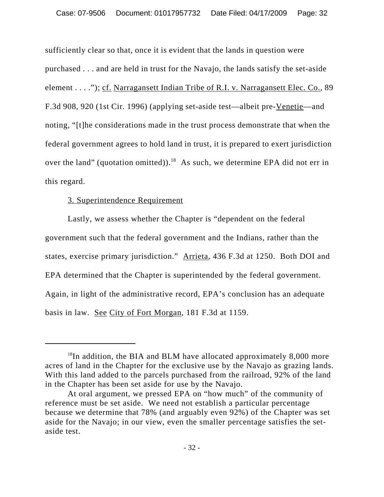sufficiently clear so that, once it is evident that the lands in question were purchased . . . and are held in trust for the Navajo, the lands satisfy the set-aside element . . . ."); cf. Narragansett Indian Tribe of R.I. v. Narragansett Elec. Co., 89 F.3d 908, 920 (1st Cir. 1996) (applying set-aside test—albeit pre-Venetie—and noting, "[t]he considerations made in the trust process demonstrate that when the federal government agrees to hold land in trust, it is prepared to exert jurisdiction over the land" (quotation omitted)).<sup>18</sup> As such, we determine EPA did not err in this regard.

### 3. Superintendence Requirement

Lastly, we assess whether the Chapter is "dependent on the federal government such that the federal government and the Indians, rather than the states, exercise primary jurisdiction." Arrieta, 436 F.3d at 1250. Both DOI and EPA determined that the Chapter is superintended by the federal government. Again, in light of the administrative record, EPA's conclusion has an adequate basis in law. See City of Fort Morgan, 181 F.3d at 1159.

 $18$ In addition, the BIA and BLM have allocated approximately 8,000 more acres of land in the Chapter for the exclusive use by the Navajo as grazing lands. With this land added to the parcels purchased from the railroad, 92% of the land in the Chapter has been set aside for use by the Navajo.

At oral argument, we pressed EPA on "how much" of the community of reference must be set aside. We need not establish a particular percentage because we determine that 78% (and arguably even 92%) of the Chapter was set aside for the Navajo; in our view, even the smaller percentage satisfies the setaside test.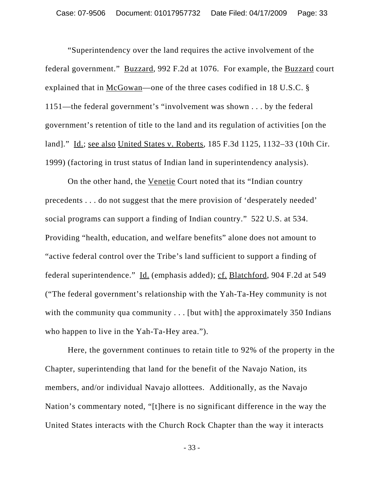"Superintendency over the land requires the active involvement of the federal government." Buzzard, 992 F.2d at 1076. For example, the Buzzard court explained that in McGowan—one of the three cases codified in 18 U.S.C. § 1151—the federal government's "involvement was shown . . . by the federal government's retention of title to the land and its regulation of activities [on the land]." Id.; see also United States v. Roberts, 185 F.3d 1125, 1132–33 (10th Cir. 1999) (factoring in trust status of Indian land in superintendency analysis).

On the other hand, the Venetie Court noted that its "Indian country" precedents . . . do not suggest that the mere provision of 'desperately needed' social programs can support a finding of Indian country." 522 U.S. at 534. Providing "health, education, and welfare benefits" alone does not amount to "active federal control over the Tribe's land sufficient to support a finding of federal superintendence." Id. (emphasis added); cf. Blatchford, 904 F.2d at 549 ("The federal government's relationship with the Yah-Ta-Hey community is not with the community qua community  $\ldots$  [but with] the approximately 350 Indians who happen to live in the Yah-Ta-Hey area.").

Here, the government continues to retain title to 92% of the property in the Chapter, superintending that land for the benefit of the Navajo Nation, its members, and/or individual Navajo allottees. Additionally, as the Navajo Nation's commentary noted, "[t]here is no significant difference in the way the United States interacts with the Church Rock Chapter than the way it interacts

- 33 -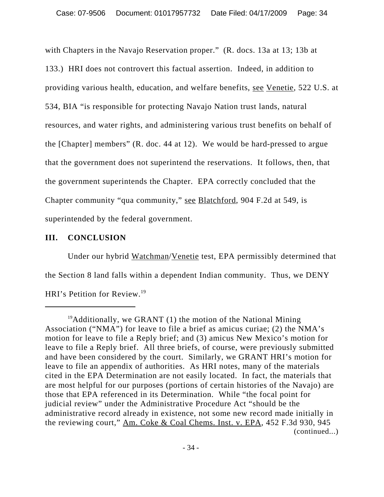with Chapters in the Navajo Reservation proper." (R. docs. 13a at 13; 13b at 133.) HRI does not controvert this factual assertion. Indeed, in addition to providing various health, education, and welfare benefits, see Venetie, 522 U.S. at 534, BIA "is responsible for protecting Navajo Nation trust lands, natural resources, and water rights, and administering various trust benefits on behalf of the [Chapter] members" (R. doc. 44 at 12). We would be hard-pressed to argue that the government does not superintend the reservations. It follows, then, that the government superintends the Chapter. EPA correctly concluded that the Chapter community "qua community," see Blatchford, 904 F.2d at 549, is superintended by the federal government.

# **III. CONCLUSION**

Under our hybrid Watchman/Venetie test, EPA permissibly determined that the Section 8 land falls within a dependent Indian community. Thus, we DENY HRI's Petition for Review.19

 $19$ Additionally, we GRANT (1) the motion of the National Mining Association ("NMA") for leave to file a brief as amicus curiae; (2) the NMA's motion for leave to file a Reply brief; and (3) amicus New Mexico's motion for leave to file a Reply brief. All three briefs, of course, were previously submitted and have been considered by the court. Similarly, we GRANT HRI's motion for leave to file an appendix of authorities. As HRI notes, many of the materials cited in the EPA Determination are not easily located. In fact, the materials that are most helpful for our purposes (portions of certain histories of the Navajo) are those that EPA referenced in its Determination. While "the focal point for judicial review" under the Administrative Procedure Act "should be the administrative record already in existence, not some new record made initially in the reviewing court," Am. Coke & Coal Chems. Inst. v. EPA, 452 F.3d 930, 945 (continued...)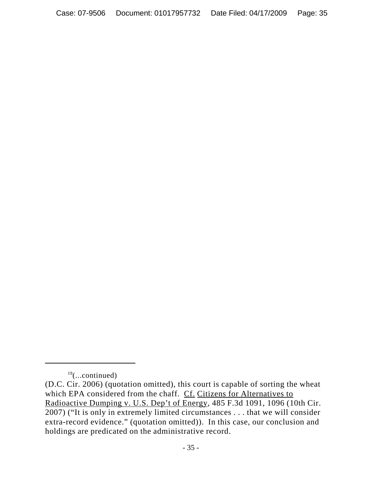$19$ (...continued)

<sup>(</sup>D.C. Cir. 2006) (quotation omitted), this court is capable of sorting the wheat which EPA considered from the chaff. Cf. Citizens for Alternatives to Radioactive Dumping v. U.S. Dep't of Energy, 485 F.3d 1091, 1096 (10th Cir. 2007) ("It is only in extremely limited circumstances . . . that we will consider extra-record evidence." (quotation omitted)). In this case, our conclusion and holdings are predicated on the administrative record.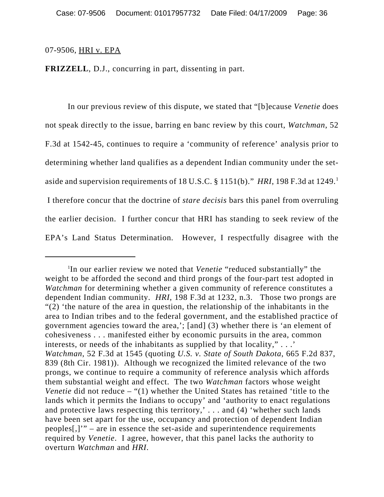#### 07-9506, HRI v. EPA

**FRIZZELL**, D.J., concurring in part, dissenting in part.

In our previous review of this dispute, we stated that "[b]ecause *Venetie* does not speak directly to the issue, barring en banc review by this court, *Watchman*, 52 F.3d at 1542-45, continues to require a 'community of reference' analysis prior to determining whether land qualifies as a dependent Indian community under the setaside and supervision requirements of 18 U.S.C. § 1151(b)." *HRI*, 198 F.3d at 1249.1 I therefore concur that the doctrine of *stare decisis* bars this panel from overruling the earlier decision. I further concur that HRI has standing to seek review of the EPA's Land Status Determination. However, I respectfully disagree with the

<sup>1</sup> In our earlier review we noted that *Venetie* "reduced substantially" the weight to be afforded the second and third prongs of the four-part test adopted in *Watchman* for determining whether a given community of reference constitutes a dependent Indian community. *HRI*, 198 F.3d at 1232, n.3. Those two prongs are "(2) 'the nature of the area in question, the relationship of the inhabitants in the area to Indian tribes and to the federal government, and the established practice of government agencies toward the area,'; [and] (3) whether there is 'an element of cohesiveness . . . manifested either by economic pursuits in the area, common interests, or needs of the inhabitants as supplied by that locality," . . .' *Watchman*, 52 F.3d at 1545 (quoting *U.S. v. State of South Dakota*, 665 F.2d 837, 839 (8th Cir. 1981)). Although we recognized the limited relevance of the two prongs, we continue to require a community of reference analysis which affords them substantial weight and effect. The two *Watchman* factors whose weight *Venetie* did not reduce – "(1) whether the United States has retained 'title to the lands which it permits the Indians to occupy' and 'authority to enact regulations and protective laws respecting this territory,' . . . and (4) 'whether such lands have been set apart for the use, occupancy and protection of dependent Indian peoples[,]'" – are in essence the set-aside and superintendence requirements required by *Venetie*. I agree, however, that this panel lacks the authority to overturn *Watchman* and *HRI*.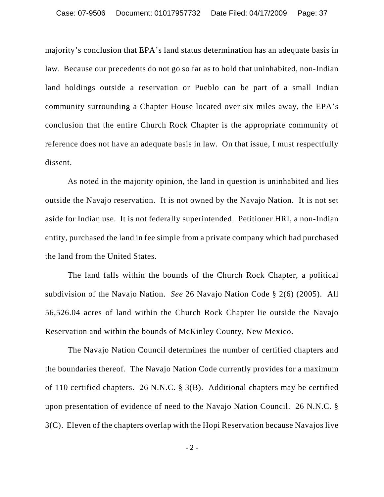majority's conclusion that EPA's land status determination has an adequate basis in law. Because our precedents do not go so far as to hold that uninhabited, non-Indian land holdings outside a reservation or Pueblo can be part of a small Indian community surrounding a Chapter House located over six miles away, the EPA's conclusion that the entire Church Rock Chapter is the appropriate community of reference does not have an adequate basis in law. On that issue, I must respectfully dissent.

As noted in the majority opinion, the land in question is uninhabited and lies outside the Navajo reservation. It is not owned by the Navajo Nation. It is not set aside for Indian use. It is not federally superintended. Petitioner HRI, a non-Indian entity, purchased the land in fee simple from a private company which had purchased the land from the United States.

The land falls within the bounds of the Church Rock Chapter, a political subdivision of the Navajo Nation. *See* 26 Navajo Nation Code § 2(6) (2005). All 56,526.04 acres of land within the Church Rock Chapter lie outside the Navajo Reservation and within the bounds of McKinley County, New Mexico.

The Navajo Nation Council determines the number of certified chapters and the boundaries thereof. The Navajo Nation Code currently provides for a maximum of 110 certified chapters. 26 N.N.C. § 3(B). Additional chapters may be certified upon presentation of evidence of need to the Navajo Nation Council. 26 N.N.C. § 3(C). Eleven of the chapters overlap with the Hopi Reservation because Navajos live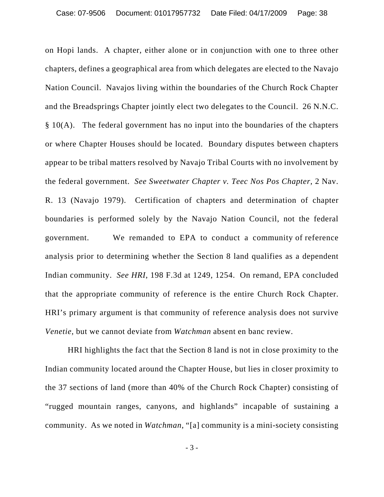on Hopi lands. A chapter, either alone or in conjunction with one to three other chapters, defines a geographical area from which delegates are elected to the Navajo Nation Council. Navajos living within the boundaries of the Church Rock Chapter and the Breadsprings Chapter jointly elect two delegates to the Council. 26 N.N.C.  $§ 10(A)$ . The federal government has no input into the boundaries of the chapters or where Chapter Houses should be located. Boundary disputes between chapters appear to be tribal matters resolved by Navajo Tribal Courts with no involvement by the federal government. *See Sweetwater Chapter v. Teec Nos Pos Chapter*, 2 Nav. R. 13 (Navajo 1979). Certification of chapters and determination of chapter boundaries is performed solely by the Navajo Nation Council, not the federal government. We remanded to EPA to conduct a community of reference analysis prior to determining whether the Section 8 land qualifies as a dependent Indian community. *See HRI*, 198 F.3d at 1249, 1254. On remand, EPA concluded that the appropriate community of reference is the entire Church Rock Chapter. HRI's primary argument is that community of reference analysis does not survive *Venetie*, but we cannot deviate from *Watchman* absent en banc review.

HRI highlights the fact that the Section 8 land is not in close proximity to the Indian community located around the Chapter House, but lies in closer proximity to the 37 sections of land (more than 40% of the Church Rock Chapter) consisting of "rugged mountain ranges, canyons, and highlands" incapable of sustaining a community. As we noted in *Watchman*, "[a] community is a mini-society consisting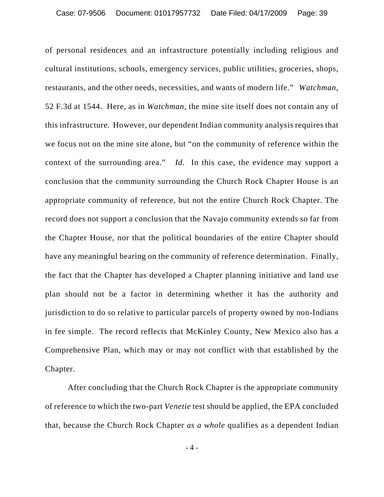of personal residences and an infrastructure potentially including religious and cultural institutions, schools, emergency services, public utilities, groceries, shops, restaurants, and the other needs, necessities, and wants of modern life." *Watchman,* 52 F.3d at 1544. Here, as in *Watchman*, the mine site itself does not contain any of this infrastructure. However, our dependent Indian community analysis requires that we focus not on the mine site alone, but "on the community of reference within the context of the surrounding area." *Id.* In this case, the evidence may support a conclusion that the community surrounding the Church Rock Chapter House is an appropriate community of reference, but not the entire Church Rock Chapter. The record does not support a conclusion that the Navajo community extends so far from the Chapter House, nor that the political boundaries of the entire Chapter should have any meaningful bearing on the community of reference determination. Finally, the fact that the Chapter has developed a Chapter planning initiative and land use plan should not be a factor in determining whether it has the authority and jurisdiction to do so relative to particular parcels of property owned by non-Indians in fee simple. The record reflects that McKinley County, New Mexico also has a Comprehensive Plan, which may or may not conflict with that established by the Chapter.

After concluding that the Church Rock Chapter is the appropriate community of reference to which the two-part *Venetie* test should be applied, the EPA concluded that, because the Church Rock Chapter *as a whole* qualifies as a dependent Indian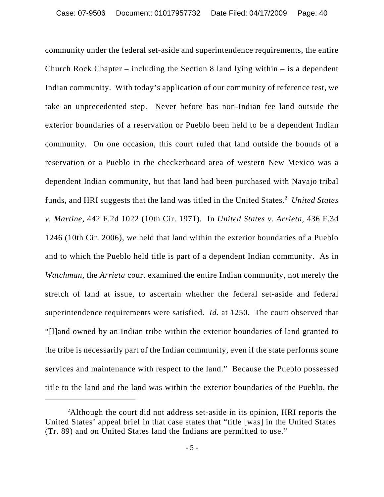community under the federal set-aside and superintendence requirements, the entire Church Rock Chapter – including the Section 8 land lying within – is a dependent Indian community. With today's application of our community of reference test, we take an unprecedented step. Never before has non-Indian fee land outside the exterior boundaries of a reservation or Pueblo been held to be a dependent Indian community. On one occasion, this court ruled that land outside the bounds of a reservation or a Pueblo in the checkerboard area of western New Mexico was a dependent Indian community, but that land had been purchased with Navajo tribal funds, and HRI suggests that the land was titled in the United States.<sup>2</sup> United States *v. Martine*, 442 F.2d 1022 (10th Cir. 1971). In *United States v. Arrieta*, 436 F.3d 1246 (10th Cir. 2006), we held that land within the exterior boundaries of a Pueblo and to which the Pueblo held title is part of a dependent Indian community. As in *Watchman*, the *Arrieta* court examined the entire Indian community, not merely the stretch of land at issue, to ascertain whether the federal set-aside and federal superintendence requirements were satisfied. *Id.* at 1250. The court observed that "[l]and owned by an Indian tribe within the exterior boundaries of land granted to the tribe is necessarily part of the Indian community, even if the state performs some services and maintenance with respect to the land." Because the Pueblo possessed title to the land and the land was within the exterior boundaries of the Pueblo, the

<sup>&</sup>lt;sup>2</sup>Although the court did not address set-aside in its opinion, HRI reports the United States' appeal brief in that case states that "title [was] in the United States (Tr. 89) and on United States land the Indians are permitted to use."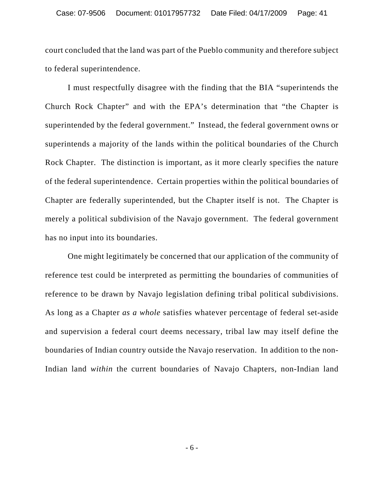court concluded that the land was part of the Pueblo community and therefore subject to federal superintendence.

I must respectfully disagree with the finding that the BIA "superintends the Church Rock Chapter" and with the EPA's determination that "the Chapter is superintended by the federal government." Instead, the federal government owns or superintends a majority of the lands within the political boundaries of the Church Rock Chapter. The distinction is important, as it more clearly specifies the nature of the federal superintendence. Certain properties within the political boundaries of Chapter are federally superintended, but the Chapter itself is not. The Chapter is merely a political subdivision of the Navajo government. The federal government has no input into its boundaries.

One might legitimately be concerned that our application of the community of reference test could be interpreted as permitting the boundaries of communities of reference to be drawn by Navajo legislation defining tribal political subdivisions. As long as a Chapter *as a whole* satisfies whatever percentage of federal set-aside and supervision a federal court deems necessary, tribal law may itself define the boundaries of Indian country outside the Navajo reservation. In addition to the non-Indian land *within* the current boundaries of Navajo Chapters, non-Indian land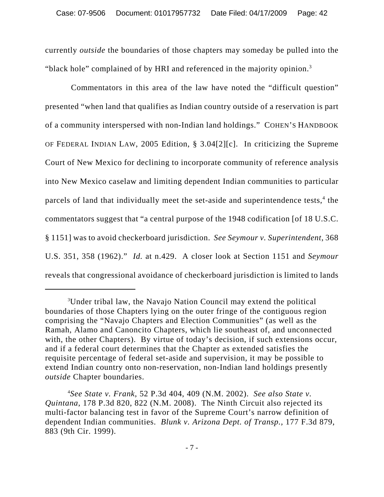currently *outside* the boundaries of those chapters may someday be pulled into the "black hole" complained of by HRI and referenced in the majority opinion.<sup>3</sup>

 Commentators in this area of the law have noted the "difficult question" presented "when land that qualifies as Indian country outside of a reservation is part of a community interspersed with non-Indian land holdings." COHEN'S HANDBOOK OF FEDERAL INDIAN LAW, 2005 Edition, § 3.04[2][c]. In criticizing the Supreme Court of New Mexico for declining to incorporate community of reference analysis into New Mexico caselaw and limiting dependent Indian communities to particular parcels of land that individually meet the set-aside and superintendence tests,<sup>4</sup> the commentators suggest that "a central purpose of the 1948 codification [of 18 U.S.C. § 1151] was to avoid checkerboard jurisdiction. *See Seymour v. Superintendent*, 368 U.S. 351, 358 (1962)." *Id.* at n.429. A closer look at Section 1151 and *Seymour* reveals that congressional avoidance of checkerboard jurisdiction is limited to lands

<sup>&</sup>lt;sup>3</sup>Under tribal law, the Navajo Nation Council may extend the political boundaries of those Chapters lying on the outer fringe of the contiguous region comprising the "Navajo Chapters and Election Communities" (as well as the Ramah, Alamo and Canoncito Chapters, which lie southeast of, and unconnected with, the other Chapters). By virtue of today's decision, if such extensions occur, and if a federal court determines that the Chapter as extended satisfies the requisite percentage of federal set-aside and supervision, it may be possible to extend Indian country onto non-reservation, non-Indian land holdings presently *outside* Chapter boundaries.

<sup>4</sup> *See State v. Frank*, 52 P.3d 404, 409 (N.M. 2002). *See also State v. Quintana*, 178 P.3d 820, 822 (N.M. 2008). The Ninth Circuit also rejected its multi-factor balancing test in favor of the Supreme Court's narrow definition of dependent Indian communities. *Blunk v. Arizona Dept. of Transp.,* 177 F.3d 879, 883 (9th Cir. 1999).